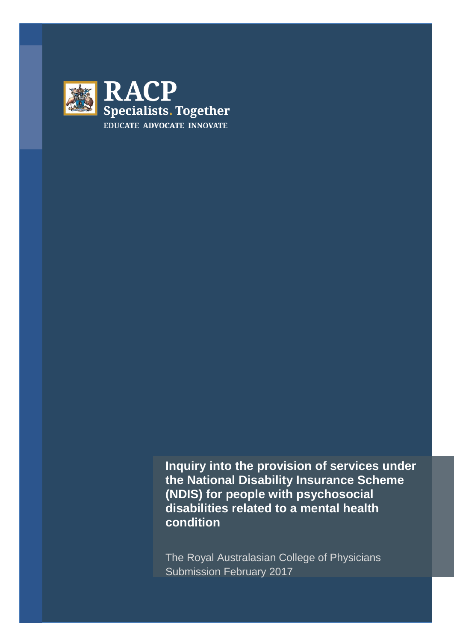

**Inquiry into the provision of services under the National Disability Insurance Scheme (NDIS) for people with psychosocial disabilities related to a mental health condition**

The Royal Australasian College of Physicians Submission February 2017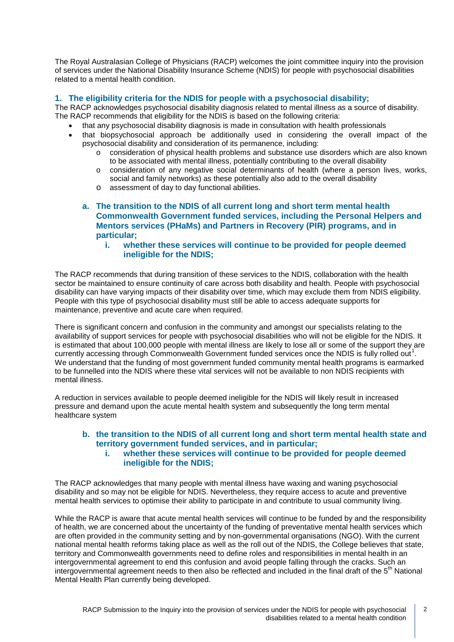The Royal Australasian College of Physicians (RACP) welcomes the joint committee inquiry into the provision of services under the National Disability Insurance Scheme (NDIS) for people with psychosocial disabilities related to a mental health condition.

# **1. The eligibility criteria for the NDIS for people with a psychosocial disability;**

The RACP acknowledges psychosocial disability diagnosis related to mental illness as a source of disability. The RACP recommends that eligibility for the NDIS is based on the following criteria:

- that any psychosocial disability diagnosis is made in consultation with health professionals
- that biopsychosocial approach be additionally used in considering the overall impact of the psychosocial disability and consideration of its permanence, including:
	- o consideration of physical health problems and substance use disorders which are also known to be associated with mental illness, potentially contributing to the overall disability
	- o consideration of any negative social determinants of health (where a person lives, works, social and family networks) as these potentially also add to the overall disability
	- o assessment of day to day functional abilities.

# **a. The transition to the NDIS of all current long and short term mental health Commonwealth Government funded services, including the Personal Helpers and Mentors services (PHaMs) and Partners in Recovery (PIR) programs, and in particular;**

**i. whether these services will continue to be provided for people deemed ineligible for the NDIS;**

The RACP recommends that during transition of these services to the NDIS, collaboration with the health sector be maintained to ensure continuity of care across both disability and health. People with psychosocial disability can have varying impacts of their disability over time, which may exclude them from NDIS eligibility. People with this type of psychosocial disability must still be able to access adequate supports for maintenance, preventive and acute care when required.

There is significant concern and confusion in the community and amongst our specialists relating to the availability of support services for people with psychosocial disabilities who will not be eligible for the NDIS. It is estimated that about 100,000 people with mental illness are likely to lose all or some of the support they are currently accessing through Commonwealth Government funded services once the NDIS is fully rolled out<sup>[1](#page-3-0)</sup>. We understand that the funding of most government funded community mental health programs is earmarked to be funnelled into the NDIS where these vital services will not be available to non NDIS recipients with mental illness.

A reduction in services available to people deemed ineligible for the NDIS will likely result in increased pressure and demand upon the acute mental health system and subsequently the long term mental healthcare system

### **b. the transition to the NDIS of all current long and short term mental health state and territory government funded services, and in particular; i. whether these services will continue to be provided for people deemed ineligible for the NDIS;**

The RACP acknowledges that many people with mental illness have waxing and waning psychosocial disability and so may not be eligible for NDIS. Nevertheless, they require access to acute and preventive mental health services to optimise their ability to participate in and contribute to usual community living.

While the RACP is aware that acute mental health services will continue to be funded by and the responsibility of health, we are concerned about the uncertainty of the funding of preventative mental health services which are often provided in the community setting and by non-governmental organisations (NGO). With the current national mental health reforms taking place as well as the roll out of the NDIS, the College believes that state, territory and Commonwealth governments need to define roles and responsibilities in mental health in an intergovernmental agreement to end this confusion and avoid people falling through the cracks. Such an intergovernmental agreement needs to then also be reflected and included in the final draft of the 5<sup>th</sup> National Mental Health Plan currently being developed.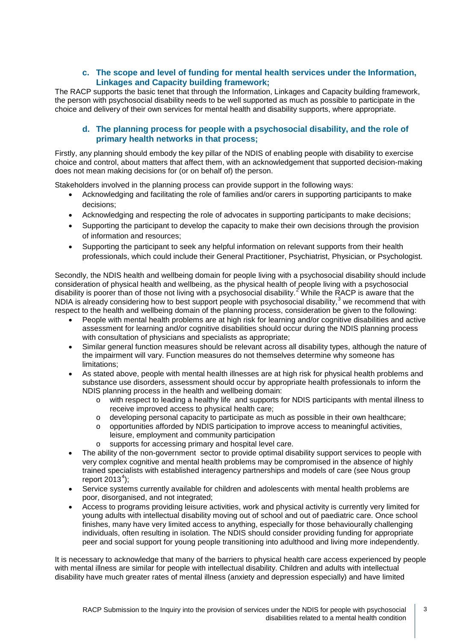# **c. The scope and level of funding for mental health services under the Information, Linkages and Capacity building framework;**

The RACP supports the basic tenet that through the Information, Linkages and Capacity building framework, the person with psychosocial disability needs to be well supported as much as possible to participate in the choice and delivery of their own services for mental health and disability supports, where appropriate.

# **d. The planning process for people with a psychosocial disability, and the role of primary health networks in that process;**

Firstly, any planning should embody the key pillar of the NDIS of enabling people with disability to exercise choice and control, about matters that affect them, with an acknowledgement that supported decision-making does not mean making decisions for (or on behalf of) the person.

Stakeholders involved in the planning process can provide support in the following ways:

- Acknowledging and facilitating the role of families and/or carers in supporting participants to make decisions;
- Acknowledging and respecting the role of advocates in supporting participants to make decisions;
- Supporting the participant to develop the capacity to make their own decisions through the provision of information and resources;
- Supporting the participant to seek any helpful information on relevant supports from their health professionals, which could include their General Practitioner, Psychiatrist, Physician, or Psychologist.

Secondly, the NDIS health and wellbeing domain for people living with a psychosocial disability should include consideration of physical health and wellbeing, as the physical health of people living with a psychosocial disability is poorer than of those not living with a psychosocial disability.<sup>[2](#page-3-1)</sup> While the RACP is aware that the NDIA is already considering how to best support people with psychosocial disability,<sup>[3](#page-3-2)</sup> we recommend that with respect to the health and wellbeing domain of the planning process, consideration be given to the following:

- People with mental health problems are at high risk for learning and/or cognitive disabilities and active assessment for learning and/or cognitive disabilities should occur during the NDIS planning process with consultation of physicians and specialists as appropriate;
- Similar general function measures should be relevant across all disability types, although the nature of the impairment will vary. Function measures do not themselves determine why someone has limitations;
- As stated above, people with mental health illnesses are at high risk for physical health problems and substance use disorders, assessment should occur by appropriate health professionals to inform the NDIS planning process in the health and wellbeing domain:
	- o with respect to leading a healthy life and supports for NDIS participants with mental illness to receive improved access to physical health care;
	- $\circ$  developing personal capacity to participate as much as possible in their own healthcare;
	- o opportunities afforded by NDIS participation to improve access to meaningful activities, leisure, employment and community participation
	- o supports for accessing primary and hospital level care.
- The ability of the non-government sector to provide optimal disability support services to people with very complex cognitive and mental health problems may be compromised in the absence of highly trained specialists with established interagency partnerships and models of care (see Nous group report  $2013<sup>4</sup>$  $2013<sup>4</sup>$  $2013<sup>4</sup>$ ;
- Service systems currently available for children and adolescents with mental health problems are poor, disorganised, and not integrated;
- Access to programs providing leisure activities, work and physical activity is currently very limited for young adults with intellectual disability moving out of school and out of paediatric care. Once school finishes, many have very limited access to anything, especially for those behaviourally challenging individuals, often resulting in isolation. The NDIS should consider providing funding for appropriate peer and social support for young people transitioning into adulthood and living more independently.

It is necessary to acknowledge that many of the barriers to physical health care access experienced by people with mental illness are similar for people with intellectual disability. Children and adults with intellectual disability have much greater rates of mental illness (anxiety and depression especially) and have limited